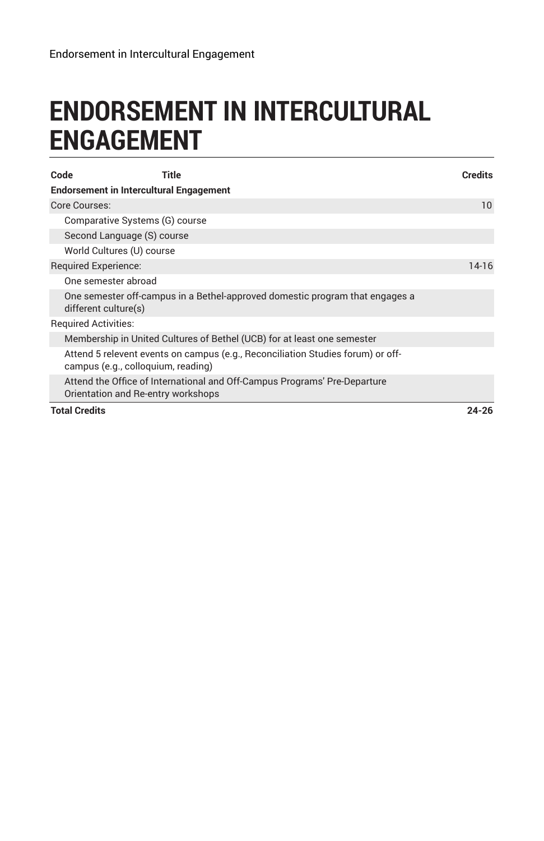## **ENDORSEMENT IN INTERCULTURAL ENGAGEMENT**

| Title<br>Code<br><b>Endorsement in Intercultural Engagement</b>                                                       | Credits |
|-----------------------------------------------------------------------------------------------------------------------|---------|
| Core Courses:                                                                                                         | 10      |
| Comparative Systems (G) course                                                                                        |         |
| Second Language (S) course                                                                                            |         |
| World Cultures (U) course                                                                                             |         |
| Required Experience:                                                                                                  | $14-16$ |
| One semester abroad                                                                                                   |         |
| One semester off-campus in a Bethel-approved domestic program that engages a<br>different culture(s)                  |         |
| <b>Required Activities:</b>                                                                                           |         |
| Membership in United Cultures of Bethel (UCB) for at least one semester                                               |         |
| Attend 5 relevent events on campus (e.g., Reconciliation Studies forum) or off-<br>campus (e.g., colloguium, reading) |         |
| Attend the Office of International and Off-Campus Programs' Pre-Departure<br>Orientation and Re-entry workshops       |         |
| <b>Total Credits</b>                                                                                                  | 24-26   |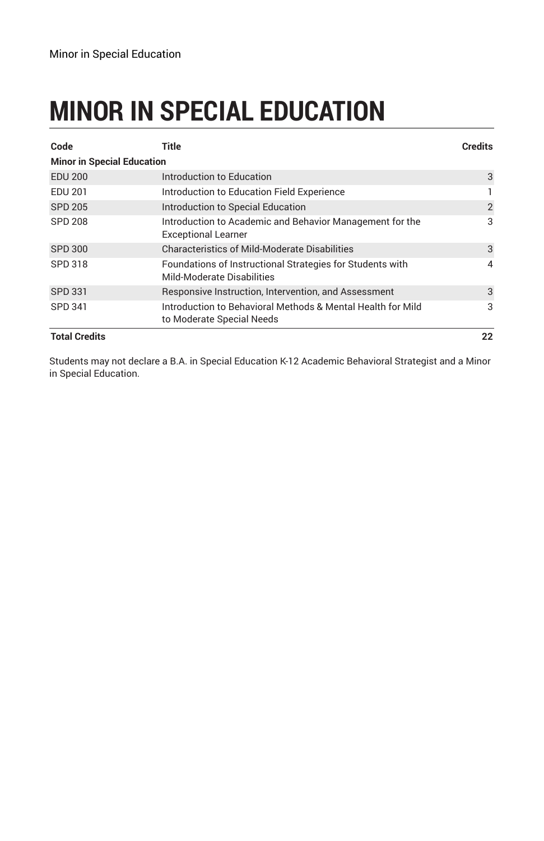# **MINOR IN SPECIAL EDUCATION**

| Code                              | Title                                                                                    | <b>Credits</b> |
|-----------------------------------|------------------------------------------------------------------------------------------|----------------|
| <b>Minor in Special Education</b> |                                                                                          |                |
| <b>EDU 200</b>                    | Introduction to Education                                                                | 3              |
| <b>EDU 201</b>                    | Introduction to Education Field Experience                                               |                |
| SPD 205                           | Introduction to Special Education                                                        | $\overline{2}$ |
| <b>SPD 208</b>                    | Introduction to Academic and Behavior Management for the<br><b>Exceptional Learner</b>   | 3              |
| <b>SPD 300</b>                    | <b>Characteristics of Mild-Moderate Disabilities</b>                                     | 3              |
| SPD 318                           | Foundations of Instructional Strategies for Students with<br>Mild-Moderate Disabilities  | $\overline{4}$ |
| <b>SPD 331</b>                    | Responsive Instruction, Intervention, and Assessment                                     | 3              |
| SPD 341                           | Introduction to Behavioral Methods & Mental Health for Mild<br>to Moderate Special Needs | 3              |
| <b>Total Credits</b>              |                                                                                          | 22             |

Students may not declare a B.A. in Special Education K-12 Academic Behavioral Strategist and a Minor in Special Education.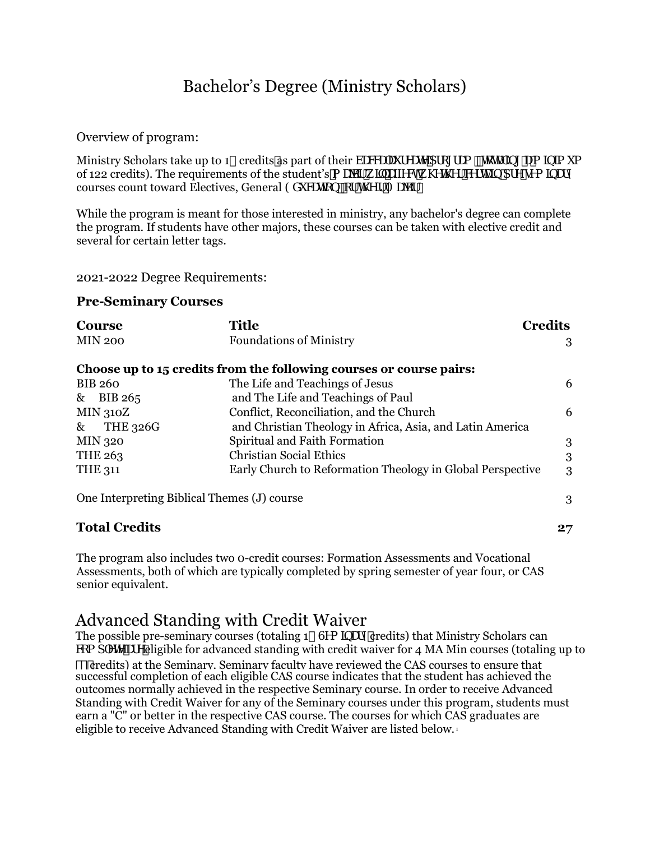### Bachelor's Degree (Ministry Scholars)

Overview of program:

Ministry Scholars take up to 1, credits as part of their VUWU fYUY dfc[fUa flrcHU]b[Ua ]b]a i a of 122 credits). The requirements of the student's a Ucf k  $\Gamma$  UZMMk \ Yh Yf WHJb dfYlgYa JbUs courses count toward Electives, General 9Xi Whcbžcf h Ylf A Ucf"

While the program is meant for those interested in ministry, any bachelor's degree can complete the program. If students have other majors, these courses can be taken with elective credit and several for certain letter tags.

2021-2022 Degree Requirements:

#### **Pre-Seminary Courses**

| <b>Course</b>                               | <b>Title</b>                                                        | <b>Credits</b> |
|---------------------------------------------|---------------------------------------------------------------------|----------------|
| <b>MIN 200</b>                              | <b>Foundations of Ministry</b>                                      | 3              |
|                                             | Choose up to 15 credits from the following courses or course pairs: |                |
| <b>BIB 260</b>                              | The Life and Teachings of Jesus                                     | 6              |
| & BIB 265                                   | and The Life and Teachings of Paul                                  |                |
| <b>MIN 310Z</b>                             | Conflict, Reconciliation, and the Church                            | 6              |
| <b>THE 326G</b><br>$\&$                     | and Christian Theology in Africa, Asia, and Latin America           |                |
| <b>MIN 320</b>                              | Spiritual and Faith Formation                                       | 3              |
| THE 263                                     | <b>Christian Social Ethics</b>                                      | 3              |
| <b>THE 311</b>                              | Early Church to Reformation Theology in Global Perspective          | 3              |
| One Interpreting Biblical Themes (J) course |                                                                     | 3              |
| <b>Total Credits</b>                        |                                                                     | 27             |

The program also includes two 0-credit courses: Formation Assessments and Vocational Assessments, both of which are typically completed by spring semester of year four, or CAS senior equivalent.

#### Advanced Standing with Credit Waiver

The possible pre-seminary courses (totaling 1&GYa ]bUfricredits) that Ministry Scholars can Wa d'Yth Teligible for advanced standing with credit waiver for 4 MA Min courses (totaling up to credits) at the Seminary. Seminary faculty have reviewed the CAS courses to ensure that successful completion of each eligible CAS course indicates that the student has achieved the outcomes normally achieved in the respective Seminary course. In order to receive Advanced Standing with Credit Waiver for any of the Seminary courses under this program, students must earn a "C" or better in the respective CAS course. The courses for which CAS graduates are eligible to receive Advanced Standing with Credit Waiver are listed below. <sup>1</sup>